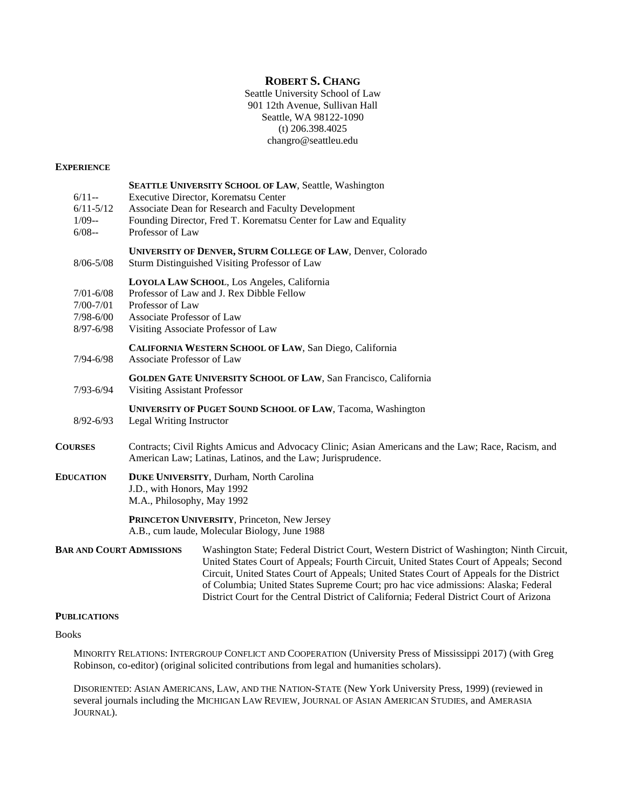# **ROBERT S. CHANG**

Seattle University School of Law 901 12th Avenue, Sullivan Hall Seattle, WA 98122-1090 (t) 206.398.4025 changro@seattleu.edu

#### **EXPERIENCE**

| $6/11-$<br>$6/11 - 5/12$<br>$1/09-$<br>$6/08 -$                  | SEATTLE UNIVERSITY SCHOOL OF LAW, Seattle, Washington<br>Executive Director, Korematsu Center<br>Associate Dean for Research and Faculty Development<br>Founding Director, Fred T. Korematsu Center for Law and Equality<br>Professor of Law                                                                                                                         |
|------------------------------------------------------------------|----------------------------------------------------------------------------------------------------------------------------------------------------------------------------------------------------------------------------------------------------------------------------------------------------------------------------------------------------------------------|
| $8/06 - 5/08$                                                    | UNIVERSITY OF DENVER, STURM COLLEGE OF LAW, Denver, Colorado<br>Sturm Distinguished Visiting Professor of Law                                                                                                                                                                                                                                                        |
| $7/01 - 6/08$<br>$7/00 - 7/01$<br>$7/98 - 6/00$<br>$8/97 - 6/98$ | LOYOLA LAW SCHOOL, Los Angeles, California<br>Professor of Law and J. Rex Dibble Fellow<br>Professor of Law<br>Associate Professor of Law<br>Visiting Associate Professor of Law                                                                                                                                                                                     |
| $7/94 - 6/98$                                                    | CALIFORNIA WESTERN SCHOOL OF LAW, San Diego, California<br>Associate Professor of Law                                                                                                                                                                                                                                                                                |
| $7/93 - 6/94$                                                    | <b>GOLDEN GATE UNIVERSITY SCHOOL OF LAW, San Francisco, California</b><br><b>Visiting Assistant Professor</b>                                                                                                                                                                                                                                                        |
| $8/92 - 6/93$                                                    | <b>UNIVERSITY OF PUGET SOUND SCHOOL OF LAW, Tacoma, Washington</b><br>Legal Writing Instructor                                                                                                                                                                                                                                                                       |
| <b>COURSES</b>                                                   | Contracts; Civil Rights Amicus and Advocacy Clinic; Asian Americans and the Law; Race, Racism, and<br>American Law; Latinas, Latinos, and the Law; Jurisprudence.                                                                                                                                                                                                    |
| <b>EDUCATION</b>                                                 | <b>DUKE UNIVERSITY, Durham, North Carolina</b><br>J.D., with Honors, May 1992<br>M.A., Philosophy, May 1992                                                                                                                                                                                                                                                          |
|                                                                  | PRINCETON UNIVERSITY, Princeton, New Jersey<br>A.B., cum laude, Molecular Biology, June 1988                                                                                                                                                                                                                                                                         |
| <b>BAR AND COURT ADMISSIONS</b>                                  | Washington State; Federal District Court, Western District of Washington; Ninth Circuit,<br>United States Court of Appeals; Fourth Circuit, United States Court of Appeals; Second<br>Circuit, United States Court of Appeals; United States Court of Appeals for the District<br>of Columbia; United States Supreme Court; pro hac vice admissions: Alaska; Federal |

#### **PUBLICATIONS**

#### Books

MINORITY RELATIONS: INTERGROUP CONFLICT AND COOPERATION (University Press of Mississippi 2017) (with Greg Robinson, co-editor) (original solicited contributions from legal and humanities scholars).

District Court for the Central District of California; Federal District Court of Arizona

DISORIENTED: ASIAN AMERICANS, LAW, AND THE NATION-STATE (New York University Press, 1999) (reviewed in several journals including the MICHIGAN LAW REVIEW, JOURNAL OF ASIAN AMERICAN STUDIES, and AMERASIA JOURNAL).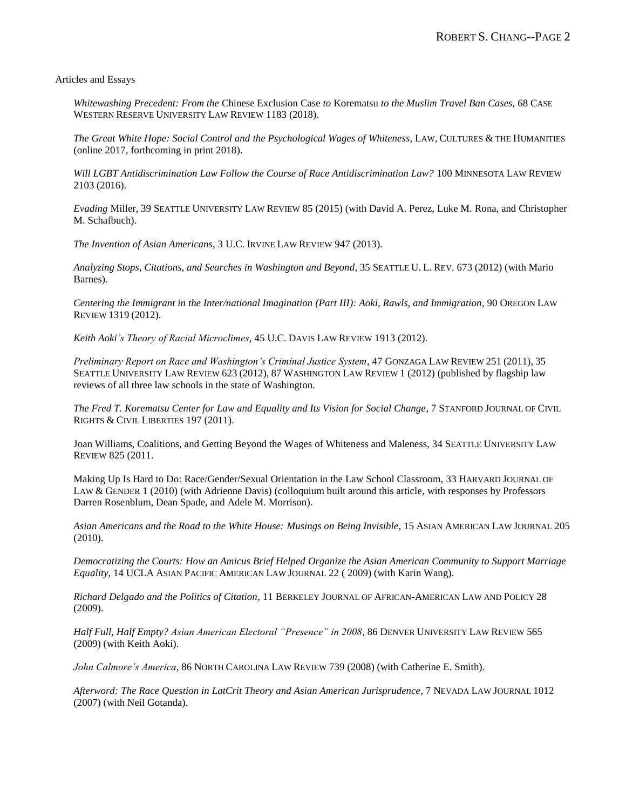Articles and Essays

*Whitewashing Precedent: From the* Chinese Exclusion Case *to* Korematsu *to the Muslim Travel Ban Cases*, 68 CASE WESTERN RESERVE UNIVERSITY LAW REVIEW 1183 (2018).

*The Great White Hope: Social Control and the Psychological Wages of Whiteness*, LAW, CULTURES & THE HUMANITIES (online 2017, forthcoming in print 2018).

*Will LGBT Antidiscrimination Law Follow the Course of Race Antidiscrimination Law?* 100 MINNESOTA LAW REVIEW 2103 (2016).

*Evading* Miller, 39 SEATTLE UNIVERSITY LAW REVIEW 85 (2015) (with David A. Perez, Luke M. Rona, and Christopher M. Schafbuch).

*The Invention of Asian Americans*, 3 U.C. IRVINE LAW REVIEW 947 (2013).

*Analyzing Stops, Citations, and Searches in Washington and Beyond*, 35 SEATTLE U. L. REV. 673 (2012) (with Mario Barnes).

*Centering the Immigrant in the Inter/national Imagination (Part III): Aoki, Rawls, and Immigration*, 90 OREGON LAW REVIEW 1319 (2012).

*Keith Aoki's Theory of Racial Microclimes,* 45 U.C. DAVIS LAW REVIEW 1913 (2012).

*Preliminary Report on Race and Washington's Criminal Justice System*, 47 GONZAGA LAW REVIEW 251 (2011), 35 SEATTLE UNIVERSITY LAW REVIEW 623 (2012), 87 WASHINGTON LAW REVIEW 1 (2012) (published by flagship law reviews of all three law schools in the state of Washington.

*The Fred T. Korematsu Center for Law and Equality and Its Vision for Social Change*, 7 STANFORD JOURNAL OF CIVIL RIGHTS & CIVIL LIBERTIES 197 (2011).

Joan Williams, Coalitions, and Getting Beyond the Wages of Whiteness and Maleness, 34 SEATTLE UNIVERSITY LAW REVIEW 825 (2011.

Making Up Is Hard to Do: Race/Gender/Sexual Orientation in the Law School Classroom, 33 HARVARD JOURNAL OF LAW & GENDER 1 (2010) (with Adrienne Davis) (colloquium built around this article, with responses by Professors Darren Rosenblum, Dean Spade, and Adele M. Morrison).

*Asian Americans and the Road to the White House: Musings on Being Invisible*, 15 ASIAN AMERICAN LAW JOURNAL 205 (2010).

*Democratizing the Courts: How an Amicus Brief Helped Organize the Asian American Community to Support Marriage Equality*, 14 UCLA ASIAN PACIFIC AMERICAN LAW JOURNAL 22 ( 2009) (with Karin Wang).

*Richard Delgado and the Politics of Citation*, 11 BERKELEY JOURNAL OF AFRICAN-AMERICAN LAW AND POLICY 28 (2009).

*Half Full, Half Empty? Asian American Electoral "Presence" in 2008*, 86 DENVER UNIVERSITY LAW REVIEW 565 (2009) (with Keith Aoki).

*John Calmore's America*, 86 NORTH CAROLINA LAW REVIEW 739 (2008) (with Catherine E. Smith).

*Afterword: The Race Question in LatCrit Theory and Asian American Jurisprudence*, 7 NEVADA LAW JOURNAL 1012 (2007) (with Neil Gotanda).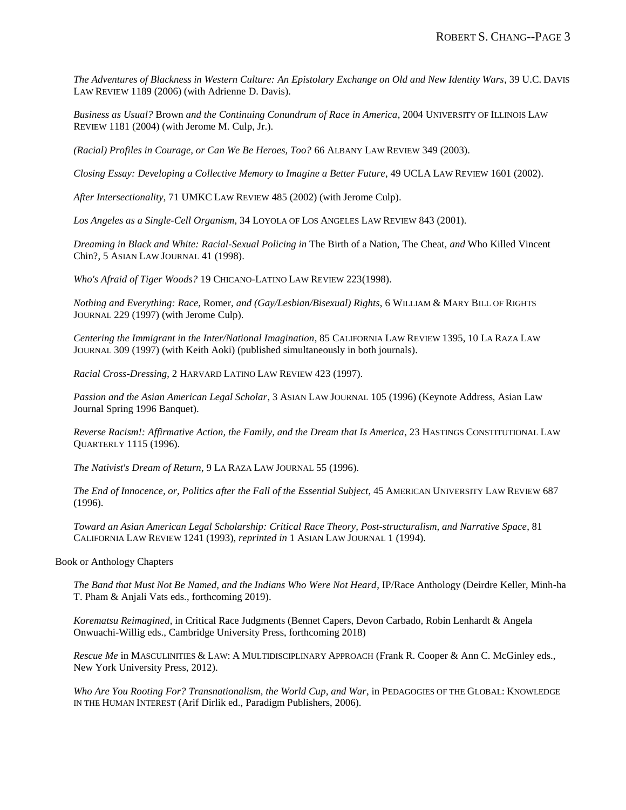*The Adventures of Blackness in Western Culture: An Epistolary Exchange on Old and New Identity Wars*, 39 U.C. DAVIS LAW REVIEW 1189 (2006) (with Adrienne D. Davis).

*Business as Usual?* Brown *and the Continuing Conundrum of Race in America*, 2004 UNIVERSITY OF ILLINOIS LAW REVIEW 1181 (2004) (with Jerome M. Culp, Jr.).

*(Racial) Profiles in Courage, or Can We Be Heroes, Too?* 66 ALBANY LAW REVIEW 349 (2003).

*Closing Essay: Developing a Collective Memory to Imagine a Better Future*, 49 UCLA LAW REVIEW 1601 (2002).

*After Intersectionality*, 71 UMKC LAW REVIEW 485 (2002) (with Jerome Culp).

*Los Angeles as a Single-Cell Organism*, 34 LOYOLA OF LOS ANGELES LAW REVIEW 843 (2001).

*Dreaming in Black and White: Racial-Sexual Policing in* The Birth of a Nation, The Cheat, *and* Who Killed Vincent Chin?, 5 ASIAN LAW JOURNAL 41 (1998).

*Who's Afraid of Tiger Woods?* 19 CHICANO-LATINO LAW REVIEW 223(1998).

*Nothing and Everything: Race,* Romer, *and (Gay/Lesbian/Bisexual) Rights*, 6 WILLIAM & MARY BILL OF RIGHTS JOURNAL 229 (1997) (with Jerome Culp).

*Centering the Immigrant in the Inter/National Imagination*, 85 CALIFORNIA LAW REVIEW 1395, 10 LA RAZA LAW JOURNAL 309 (1997) (with Keith Aoki) (published simultaneously in both journals).

*Racial Cross-Dressing*, 2 HARVARD LATINO LAW REVIEW 423 (1997).

*Passion and the Asian American Legal Scholar*, 3 ASIAN LAW JOURNAL 105 (1996) (Keynote Address, Asian Law Journal Spring 1996 Banquet).

*Reverse Racism!: Affirmative Action, the Family, and the Dream that Is America*, 23 HASTINGS CONSTITUTIONAL LAW QUARTERLY 1115 (1996).

*The Nativist's Dream of Return*, 9 LA RAZA LAW JOURNAL 55 (1996).

*The End of Innocence, or, Politics after the Fall of the Essential Subject*, 45 AMERICAN UNIVERSITY LAW REVIEW 687 (1996).

*Toward an Asian American Legal Scholarship: Critical Race Theory, Post-structuralism, and Narrative Space*, 81 CALIFORNIA LAW REVIEW 1241 (1993), *reprinted in* 1 ASIAN LAW JOURNAL 1 (1994).

Book or Anthology Chapters

*The Band that Must Not Be Named, and the Indians Who Were Not Heard*, IP/Race Anthology (Deirdre Keller, Minh-ha T. Pham & Anjali Vats eds., forthcoming 2019).

*Korematsu Reimagined*, in Critical Race Judgments (Bennet Capers, Devon Carbado, Robin Lenhardt & Angela Onwuachi-Willig eds., Cambridge University Press, forthcoming 2018)

*Rescue Me* in MASCULINITIES & LAW: A MULTIDISCIPLINARY APPROACH (Frank R. Cooper & Ann C. McGinley eds., New York University Press, 2012).

*Who Are You Rooting For? Transnationalism, the World Cup, and War*, in PEDAGOGIES OF THE GLOBAL: KNOWLEDGE IN THE HUMAN INTEREST (Arif Dirlik ed., Paradigm Publishers, 2006).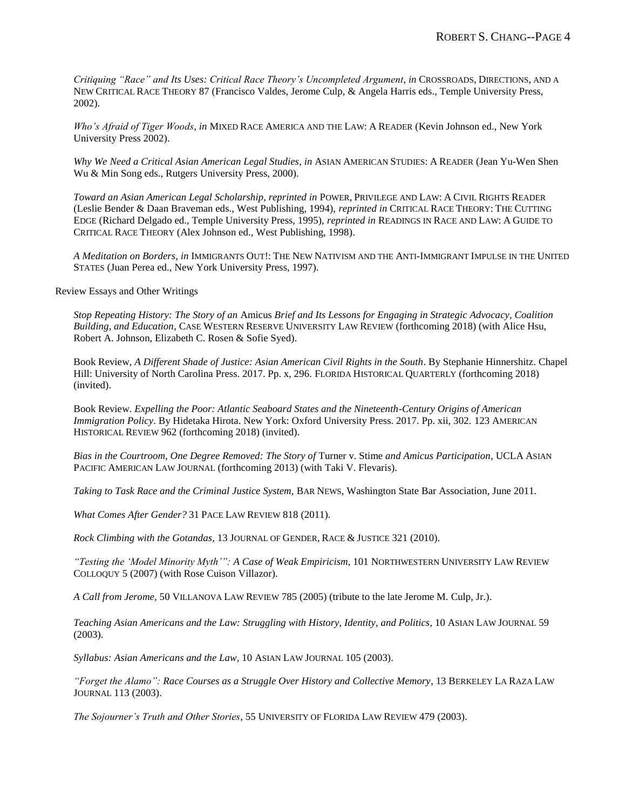*Critiquing "Race" and Its Uses: Critical Race Theory's Uncompleted Argument*, *in* CROSSROADS, DIRECTIONS, AND A NEW CRITICAL RACE THEORY 87 (Francisco Valdes, Jerome Culp, & Angela Harris eds., Temple University Press, 2002).

*Who's Afraid of Tiger Woods*, *in* MIXED RACE AMERICA AND THE LAW: A READER (Kevin Johnson ed., New York University Press 2002).

*Why We Need a Critical Asian American Legal Studies*, *in* ASIAN AMERICAN STUDIES: A READER (Jean Yu-Wen Shen Wu & Min Song eds., Rutgers University Press, 2000).

*Toward an Asian American Legal Scholarship, reprinted in* POWER, PRIVILEGE AND LAW: A CIVIL RIGHTS READER (Leslie Bender & Daan Braveman eds., West Publishing, 1994), *reprinted in* CRITICAL RACE THEORY: THE CUTTING EDGE (Richard Delgado ed., Temple University Press, 1995), *reprinted in* READINGS IN RACE AND LAW: A GUIDE TO CRITICAL RACE THEORY (Alex Johnson ed., West Publishing, 1998).

*A Meditation on Borders*, *in* IMMIGRANTS OUT!: THE NEW NATIVISM AND THE ANTI-IMMIGRANT IMPULSE IN THE UNITED STATES (Juan Perea ed., New York University Press, 1997).

Review Essays and Other Writings

*Stop Repeating History: The Story of an* Amicus *Brief and Its Lessons for Engaging in Strategic Advocacy, Coalition Building, and Education*, CASE WESTERN RESERVE UNIVERSITY LAW REVIEW (forthcoming 2018) (with Alice Hsu, Robert A. Johnson, Elizabeth C. Rosen & Sofie Syed).

Book Review, *A Different Shade of Justice: Asian American Civil Rights in the South*. By Stephanie Hinnershitz. Chapel Hill: University of North Carolina Press. 2017. Pp. x, 296. FLORIDA HISTORICAL QUARTERLY (forthcoming 2018) (invited).

Book Review. *Expelling the Poor: Atlantic Seaboard States and the Nineteenth-Century Origins of American Immigration Policy*. By Hidetaka Hirota. New York: Oxford University Press. 2017. Pp. xii, 302. 123 AMERICAN HISTORICAL REVIEW 962 (forthcoming 2018) (invited).

*Bias in the Courtroom, One Degree Removed: The Story of* Turner v. Stime *and Amicus Participation*, UCLA ASIAN PACIFIC AMERICAN LAW JOURNAL (forthcoming 2013) (with Taki V. Flevaris).

*Taking to Task Race and the Criminal Justice System,* BAR NEWS, Washington State Bar Association*,* June 2011*.*

*What Comes After Gender?* 31 PACE LAW REVIEW 818 (2011)*.*

*Rock Climbing with the Gotandas,* 13 JOURNAL OF GENDER, RACE & JUSTICE 321 (2010).

*"Testing the 'Model Minority Myth'": A Case of Weak Empiricism*, 101 NORTHWESTERN UNIVERSITY LAW REVIEW COLLOQUY 5 (2007) (with Rose Cuison Villazor).

*A Call from Jerome,* 50 VILLANOVA LAW REVIEW 785 (2005) (tribute to the late Jerome M. Culp, Jr.).

*Teaching Asian Americans and the Law: Struggling with History, Identity, and Politics*, 10 ASIAN LAW JOURNAL 59 (2003).

*Syllabus: Asian Americans and the Law*, 10 ASIAN LAW JOURNAL 105 (2003).

*"Forget the Alamo": Race Courses as a Struggle Over History and Collective Memory*, 13 BERKELEY LA RAZA LAW JOURNAL 113 (2003).

*The Sojourner's Truth and Other Stories*, 55 UNIVERSITY OF FLORIDA LAW REVIEW 479 (2003).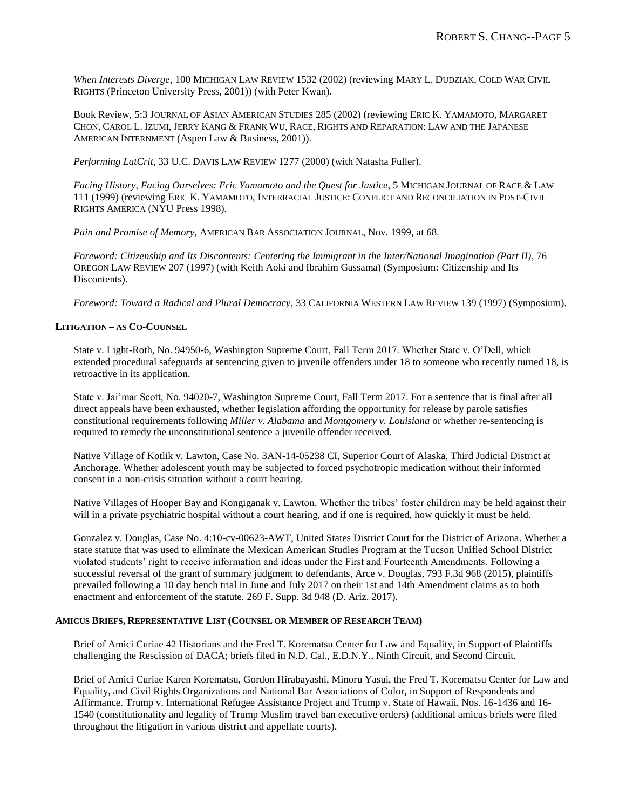*When Interests Diverge*, 100 MICHIGAN LAW REVIEW 1532 (2002) (reviewing MARY L. DUDZIAK, COLD WAR CIVIL RIGHTS (Princeton University Press, 2001)) (with Peter Kwan).

Book Review, 5:3 JOURNAL OF ASIAN AMERICAN STUDIES 285 (2002) (reviewing ERIC K. YAMAMOTO, MARGARET CHON, CAROL L. IZUMI, JERRY KANG & FRANK WU, RACE, RIGHTS AND REPARATION: LAW AND THE JAPANESE AMERICAN INTERNMENT (Aspen Law & Business, 2001)).

*Performing LatCrit*, 33 U.C. DAVIS LAW REVIEW 1277 (2000) (with Natasha Fuller).

*Facing History, Facing Ourselves: Eric Yamamoto and the Quest for Justice*, 5 MICHIGAN JOURNAL OF RACE & LAW 111 (1999) (reviewing ERIC K. YAMAMOTO, INTERRACIAL JUSTICE: CONFLICT AND RECONCILIATION IN POST-CIVIL RIGHTS AMERICA (NYU Press 1998).

*Pain and Promise of Memory*, AMERICAN BAR ASSOCIATION JOURNAL, Nov. 1999, at 68.

*Foreword: Citizenship and Its Discontents: Centering the Immigrant in the Inter/National Imagination (Part II)*, 76 OREGON LAW REVIEW 207 (1997) (with Keith Aoki and Ibrahim Gassama) (Symposium: Citizenship and Its Discontents).

*Foreword: Toward a Radical and Plural Democracy*, 33 CALIFORNIA WESTERN LAW REVIEW 139 (1997) (Symposium).

## **LITIGATION – AS CO-COUNSEL**

State v. Light-Roth, No. 94950-6, Washington Supreme Court, Fall Term 2017. Whether State v. O'Dell, which extended procedural safeguards at sentencing given to juvenile offenders under 18 to someone who recently turned 18, is retroactive in its application.

State v. Jai'mar Scott, No. 94020-7, Washington Supreme Court, Fall Term 2017. For a sentence that is final after all direct appeals have been exhausted, whether legislation affording the opportunity for release by parole satisfies constitutional requirements following *Miller v. Alabama* and *Montgomery v. Louisiana* or whether re-sentencing is required to remedy the unconstitutional sentence a juvenile offender received.

Native Village of Kotlik v. Lawton, Case No. 3AN-14-05238 CI, Superior Court of Alaska, Third Judicial District at Anchorage. Whether adolescent youth may be subjected to forced psychotropic medication without their informed consent in a non-crisis situation without a court hearing.

Native Villages of Hooper Bay and Kongiganak v. Lawton. Whether the tribes' foster children may be held against their will in a private psychiatric hospital without a court hearing, and if one is required, how quickly it must be held.

Gonzalez v. Douglas, Case No. 4:10-cv-00623-AWT, United States District Court for the District of Arizona. Whether a state statute that was used to eliminate the Mexican American Studies Program at the Tucson Unified School District violated students' right to receive information and ideas under the First and Fourteenth Amendments. Following a successful reversal of the grant of summary judgment to defendants, Arce v. Douglas, 793 F.3d 968 (2015), plaintiffs prevailed following a 10 day bench trial in June and July 2017 on their 1st and 14th Amendment claims as to both enactment and enforcement of the statute. 269 F. Supp. 3d 948 (D. Ariz. 2017).

### **AMICUS BRIEFS, REPRESENTATIVE LIST (COUNSEL OR MEMBER OF RESEARCH TEAM)**

Brief of Amici Curiae 42 Historians and the Fred T. Korematsu Center for Law and Equality, in Support of Plaintiffs challenging the Rescission of DACA; briefs filed in N.D. Cal., E.D.N.Y., Ninth Circuit, and Second Circuit.

Brief of Amici Curiae Karen Korematsu, Gordon Hirabayashi, Minoru Yasui, the Fred T. Korematsu Center for Law and Equality, and Civil Rights Organizations and National Bar Associations of Color, in Support of Respondents and Affirmance. Trump v. International Refugee Assistance Project and Trump v. State of Hawaii, Nos. 16-1436 and 16- 1540 (constitutionality and legality of Trump Muslim travel ban executive orders) (additional amicus briefs were filed throughout the litigation in various district and appellate courts).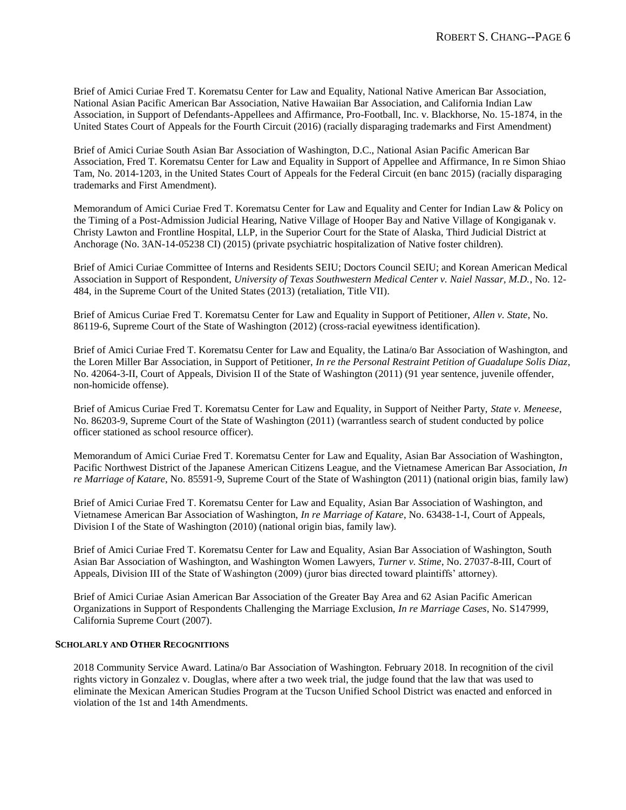Brief of Amici Curiae Fred T. Korematsu Center for Law and Equality, National Native American Bar Association, National Asian Pacific American Bar Association, Native Hawaiian Bar Association, and California Indian Law Association, in Support of Defendants-Appellees and Affirmance, Pro-Football, Inc. v. Blackhorse, No. 15-1874, in the United States Court of Appeals for the Fourth Circuit (2016) (racially disparaging trademarks and First Amendment)

Brief of Amici Curiae South Asian Bar Association of Washington, D.C., National Asian Pacific American Bar Association, Fred T. Korematsu Center for Law and Equality in Support of Appellee and Affirmance, In re Simon Shiao Tam, No. 2014-1203, in the United States Court of Appeals for the Federal Circuit (en banc 2015) (racially disparaging trademarks and First Amendment).

Memorandum of Amici Curiae Fred T. Korematsu Center for Law and Equality and Center for Indian Law & Policy on the Timing of a Post-Admission Judicial Hearing, Native Village of Hooper Bay and Native Village of Kongiganak v. Christy Lawton and Frontline Hospital, LLP, in the Superior Court for the State of Alaska, Third Judicial District at Anchorage (No. 3AN-14-05238 CI) (2015) (private psychiatric hospitalization of Native foster children).

Brief of Amici Curiae Committee of Interns and Residents SEIU; Doctors Council SEIU; and Korean American Medical Association in Support of Respondent, *University of Texas Southwestern Medical Center v. Naiel Nassar, M.D.*, No. 12- 484, in the Supreme Court of the United States (2013) (retaliation, Title VII).

Brief of Amicus Curiae Fred T. Korematsu Center for Law and Equality in Support of Petitioner, *Allen v. State*, No. 86119-6, Supreme Court of the State of Washington (2012) (cross-racial eyewitness identification).

Brief of Amici Curiae Fred T. Korematsu Center for Law and Equality, the Latina/o Bar Association of Washington, and the Loren Miller Bar Association, in Support of Petitioner, *In re the Personal Restraint Petition of Guadalupe Solis Diaz*, No. 42064-3-II, Court of Appeals, Division II of the State of Washington (2011) (91 year sentence, juvenile offender, non-homicide offense).

Brief of Amicus Curiae Fred T. Korematsu Center for Law and Equality, in Support of Neither Party, *State v. Meneese*, No. 86203-9, Supreme Court of the State of Washington (2011) (warrantless search of student conducted by police officer stationed as school resource officer).

Memorandum of Amici Curiae Fred T. Korematsu Center for Law and Equality, Asian Bar Association of Washington, Pacific Northwest District of the Japanese American Citizens League, and the Vietnamese American Bar Association, *In re Marriage of Katare*, No. 85591-9, Supreme Court of the State of Washington (2011) (national origin bias, family law)

Brief of Amici Curiae Fred T. Korematsu Center for Law and Equality, Asian Bar Association of Washington, and Vietnamese American Bar Association of Washington, *In re Marriage of Katare*, No. 63438-1-I, Court of Appeals, Division I of the State of Washington (2010) (national origin bias, family law).

Brief of Amici Curiae Fred T. Korematsu Center for Law and Equality, Asian Bar Association of Washington, South Asian Bar Association of Washington, and Washington Women Lawyers, *Turner v. Stime*, No. 27037-8-III, Court of Appeals, Division III of the State of Washington (2009) (juror bias directed toward plaintiffs' attorney).

Brief of Amici Curiae Asian American Bar Association of the Greater Bay Area and 62 Asian Pacific American Organizations in Support of Respondents Challenging the Marriage Exclusion, *In re Marriage Cases*, No. S147999, California Supreme Court (2007).

### **SCHOLARLY AND OTHER RECOGNITIONS**

2018 Community Service Award. Latina/o Bar Association of Washington. February 2018. In recognition of the civil rights victory in Gonzalez v. Douglas, where after a two week trial, the judge found that the law that was used to eliminate the Mexican American Studies Program at the Tucson Unified School District was enacted and enforced in violation of the 1st and 14th Amendments.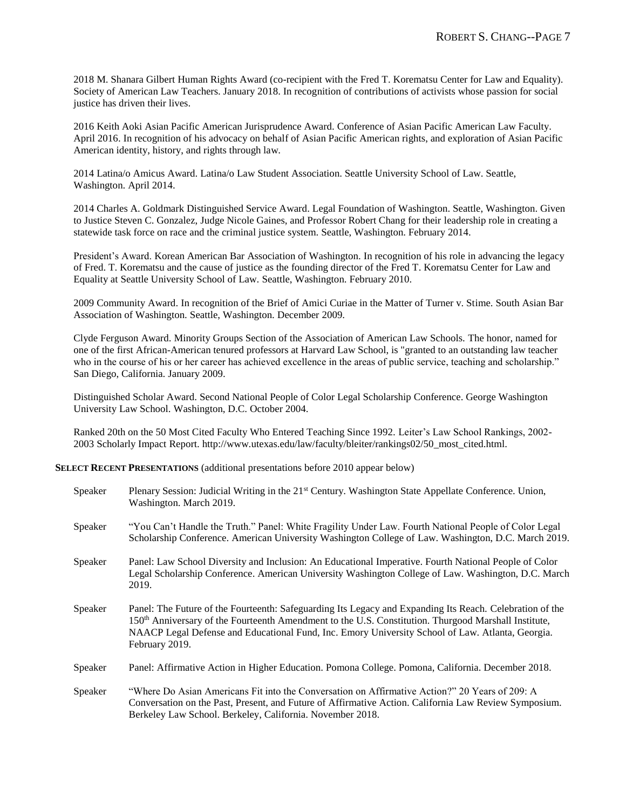2018 M. Shanara Gilbert Human Rights Award (co-recipient with the Fred T. Korematsu Center for Law and Equality). Society of American Law Teachers. January 2018. In recognition of contributions of activists whose passion for social justice has driven their lives.

2016 Keith Aoki Asian Pacific American Jurisprudence Award. Conference of Asian Pacific American Law Faculty. April 2016. In recognition of his advocacy on behalf of Asian Pacific American rights, and exploration of Asian Pacific American identity, history, and rights through law.

2014 Latina/o Amicus Award. Latina/o Law Student Association. Seattle University School of Law. Seattle, Washington. April 2014.

2014 Charles A. Goldmark Distinguished Service Award. Legal Foundation of Washington. Seattle, Washington. Given to Justice Steven C. Gonzalez, Judge Nicole Gaines, and Professor Robert Chang for their leadership role in creating a statewide task force on race and the criminal justice system. Seattle, Washington. February 2014.

President's Award. Korean American Bar Association of Washington. In recognition of his role in advancing the legacy of Fred. T. Korematsu and the cause of justice as the founding director of the Fred T. Korematsu Center for Law and Equality at Seattle University School of Law. Seattle, Washington. February 2010.

2009 Community Award. In recognition of the Brief of Amici Curiae in the Matter of Turner v. Stime. South Asian Bar Association of Washington. Seattle, Washington. December 2009.

Clyde Ferguson Award. Minority Groups Section of the Association of American Law Schools. The honor, named for one of the first African-American tenured professors at Harvard Law School, is "granted to an outstanding law teacher who in the course of his or her career has achieved excellence in the areas of public service, teaching and scholarship." San Diego, California. January 2009.

Distinguished Scholar Award. Second National People of Color Legal Scholarship Conference. George Washington University Law School. Washington, D.C. October 2004.

Ranked 20th on the 50 Most Cited Faculty Who Entered Teaching Since 1992. Leiter's Law School Rankings, 2002- 2003 Scholarly Impact Report. http://www.utexas.edu/law/faculty/bleiter/rankings02/50\_most\_cited.html.

**SELECT RECENT PRESENTATIONS** (additional presentations before 2010 appear below)

| Speaker | Plenary Session: Judicial Writing in the 21 <sup>st</sup> Century. Washington State Appellate Conference. Union,<br>Washington. March 2019.                                                                                                                                                                                                        |
|---------|----------------------------------------------------------------------------------------------------------------------------------------------------------------------------------------------------------------------------------------------------------------------------------------------------------------------------------------------------|
| Speaker | "You Can't Handle the Truth." Panel: White Fragility Under Law. Fourth National People of Color Legal<br>Scholarship Conference. American University Washington College of Law. Washington, D.C. March 2019.                                                                                                                                       |
| Speaker | Panel: Law School Diversity and Inclusion: An Educational Imperative. Fourth National People of Color<br>Legal Scholarship Conference. American University Washington College of Law. Washington, D.C. March<br>2019.                                                                                                                              |
| Speaker | Panel: The Future of the Fourteenth: Safeguarding Its Legacy and Expanding Its Reach. Celebration of the<br>150 <sup>th</sup> Anniversary of the Fourteenth Amendment to the U.S. Constitution. Thurgood Marshall Institute,<br>NAACP Legal Defense and Educational Fund, Inc. Emory University School of Law. Atlanta, Georgia.<br>February 2019. |
| Speaker | Panel: Affirmative Action in Higher Education. Pomona College. Pomona, California. December 2018.                                                                                                                                                                                                                                                  |
| Speaker | "Where Do Asian Americans Fit into the Conversation on Affirmative Action?" 20 Years of 209: A<br>Conversation on the Past, Present, and Future of Affirmative Action. California Law Review Symposium.<br>Berkeley Law School. Berkeley, California. November 2018.                                                                               |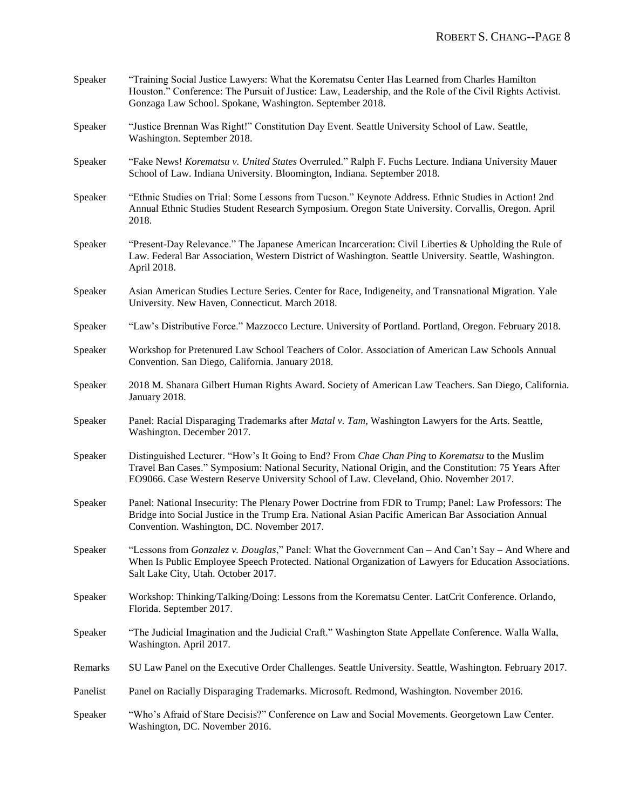| Speaker  | "Training Social Justice Lawyers: What the Korematsu Center Has Learned from Charles Hamilton<br>Houston." Conference: The Pursuit of Justice: Law, Leadership, and the Role of the Civil Rights Activist.<br>Gonzaga Law School. Spokane, Washington. September 2018.                             |
|----------|----------------------------------------------------------------------------------------------------------------------------------------------------------------------------------------------------------------------------------------------------------------------------------------------------|
| Speaker  | "Justice Brennan Was Right!" Constitution Day Event. Seattle University School of Law. Seattle,<br>Washington. September 2018.                                                                                                                                                                     |
| Speaker  | "Fake News! Korematsu v. United States Overruled." Ralph F. Fuchs Lecture. Indiana University Mauer<br>School of Law. Indiana University. Bloomington, Indiana. September 2018.                                                                                                                    |
| Speaker  | "Ethnic Studies on Trial: Some Lessons from Tucson." Keynote Address. Ethnic Studies in Action! 2nd<br>Annual Ethnic Studies Student Research Symposium. Oregon State University. Corvallis, Oregon. April<br>2018.                                                                                |
| Speaker  | "Present-Day Relevance." The Japanese American Incarceration: Civil Liberties & Upholding the Rule of<br>Law. Federal Bar Association, Western District of Washington. Seattle University. Seattle, Washington.<br>April 2018.                                                                     |
| Speaker  | Asian American Studies Lecture Series. Center for Race, Indigeneity, and Transnational Migration. Yale<br>University. New Haven, Connecticut. March 2018.                                                                                                                                          |
| Speaker  | "Law's Distributive Force." Mazzocco Lecture. University of Portland. Portland, Oregon. February 2018.                                                                                                                                                                                             |
| Speaker  | Workshop for Pretenured Law School Teachers of Color. Association of American Law Schools Annual<br>Convention. San Diego, California. January 2018.                                                                                                                                               |
| Speaker  | 2018 M. Shanara Gilbert Human Rights Award. Society of American Law Teachers. San Diego, California.<br>January 2018.                                                                                                                                                                              |
| Speaker  | Panel: Racial Disparaging Trademarks after <i>Matal v. Tam</i> , Washington Lawyers for the Arts. Seattle,<br>Washington. December 2017.                                                                                                                                                           |
| Speaker  | Distinguished Lecturer. "How's It Going to End? From Chae Chan Ping to Korematsu to the Muslim<br>Travel Ban Cases." Symposium: National Security, National Origin, and the Constitution: 75 Years After<br>EO9066. Case Western Reserve University School of Law. Cleveland, Ohio. November 2017. |
| Speaker  | Panel: National Insecurity: The Plenary Power Doctrine from FDR to Trump; Panel: Law Professors: The<br>Bridge into Social Justice in the Trump Era. National Asian Pacific American Bar Association Annual<br>Convention. Washington, DC. November 2017.                                          |
| Speaker  | "Lessons from Gonzalez v. Douglas," Panel: What the Government Can - And Can't Say - And Where and<br>When Is Public Employee Speech Protected. National Organization of Lawyers for Education Associations.<br>Salt Lake City, Utah. October 2017.                                                |
| Speaker  | Workshop: Thinking/Talking/Doing: Lessons from the Korematsu Center. LatCrit Conference. Orlando,<br>Florida. September 2017.                                                                                                                                                                      |
| Speaker  | "The Judicial Imagination and the Judicial Craft." Washington State Appellate Conference. Walla Walla,<br>Washington. April 2017.                                                                                                                                                                  |
| Remarks  | SU Law Panel on the Executive Order Challenges. Seattle University. Seattle, Washington. February 2017.                                                                                                                                                                                            |
| Panelist | Panel on Racially Disparaging Trademarks. Microsoft. Redmond, Washington. November 2016.                                                                                                                                                                                                           |
| Speaker  | "Who's Afraid of Stare Decisis?" Conference on Law and Social Movements. Georgetown Law Center.<br>Washington, DC. November 2016.                                                                                                                                                                  |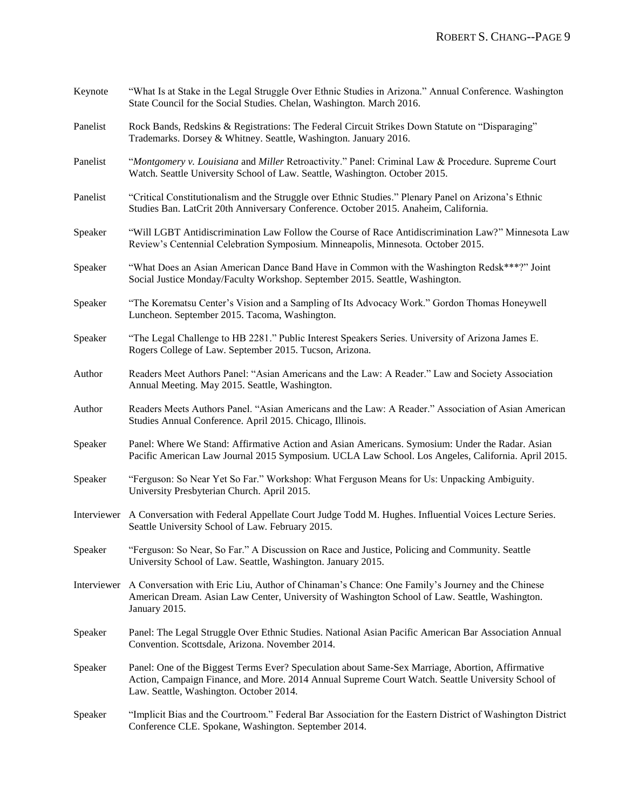| Keynote  | "What Is at Stake in the Legal Struggle Over Ethnic Studies in Arizona." Annual Conference. Washington<br>State Council for the Social Studies. Chelan, Washington. March 2016.                                                                  |
|----------|--------------------------------------------------------------------------------------------------------------------------------------------------------------------------------------------------------------------------------------------------|
| Panelist | Rock Bands, Redskins & Registrations: The Federal Circuit Strikes Down Statute on "Disparaging"<br>Trademarks. Dorsey & Whitney. Seattle, Washington. January 2016.                                                                              |
| Panelist | "Montgomery v. Louisiana and Miller Retroactivity." Panel: Criminal Law & Procedure. Supreme Court<br>Watch. Seattle University School of Law. Seattle, Washington. October 2015.                                                                |
| Panelist | "Critical Constitutionalism and the Struggle over Ethnic Studies." Plenary Panel on Arizona's Ethnic<br>Studies Ban. LatCrit 20th Anniversary Conference. October 2015. Anaheim, California.                                                     |
| Speaker  | "Will LGBT Antidiscrimination Law Follow the Course of Race Antidiscrimination Law?" Minnesota Law<br>Review's Centennial Celebration Symposium. Minneapolis, Minnesota. October 2015.                                                           |
| Speaker  | "What Does an Asian American Dance Band Have in Common with the Washington Redsk***?" Joint<br>Social Justice Monday/Faculty Workshop. September 2015. Seattle, Washington.                                                                      |
| Speaker  | "The Korematsu Center's Vision and a Sampling of Its Advocacy Work." Gordon Thomas Honeywell<br>Luncheon. September 2015. Tacoma, Washington.                                                                                                    |
| Speaker  | "The Legal Challenge to HB 2281." Public Interest Speakers Series. University of Arizona James E.<br>Rogers College of Law. September 2015. Tucson, Arizona.                                                                                     |
| Author   | Readers Meet Authors Panel: "Asian Americans and the Law: A Reader." Law and Society Association<br>Annual Meeting. May 2015. Seattle, Washington.                                                                                               |
| Author   | Readers Meets Authors Panel. "Asian Americans and the Law: A Reader." Association of Asian American<br>Studies Annual Conference. April 2015. Chicago, Illinois.                                                                                 |
| Speaker  | Panel: Where We Stand: Affirmative Action and Asian Americans. Symosium: Under the Radar. Asian<br>Pacific American Law Journal 2015 Symposium. UCLA Law School. Los Angeles, California. April 2015.                                            |
| Speaker  | "Ferguson: So Near Yet So Far." Workshop: What Ferguson Means for Us: Unpacking Ambiguity.<br>University Presbyterian Church. April 2015.                                                                                                        |
|          | Interviewer A Conversation with Federal Appellate Court Judge Todd M. Hughes. Influential Voices Lecture Series.<br>Seattle University School of Law. February 2015.                                                                             |
| Speaker  | "Ferguson: So Near, So Far." A Discussion on Race and Justice, Policing and Community. Seattle<br>University School of Law. Seattle, Washington. January 2015.                                                                                   |
|          | Interviewer A Conversation with Eric Liu, Author of Chinaman's Chance: One Family's Journey and the Chinese<br>American Dream. Asian Law Center, University of Washington School of Law. Seattle, Washington.<br>January 2015.                   |
| Speaker  | Panel: The Legal Struggle Over Ethnic Studies. National Asian Pacific American Bar Association Annual<br>Convention. Scottsdale, Arizona. November 2014.                                                                                         |
| Speaker  | Panel: One of the Biggest Terms Ever? Speculation about Same-Sex Marriage, Abortion, Affirmative<br>Action, Campaign Finance, and More. 2014 Annual Supreme Court Watch. Seattle University School of<br>Law. Seattle, Washington. October 2014. |
| Speaker  | "Implicit Bias and the Courtroom." Federal Bar Association for the Eastern District of Washington District<br>Conference CLE. Spokane, Washington. September 2014.                                                                               |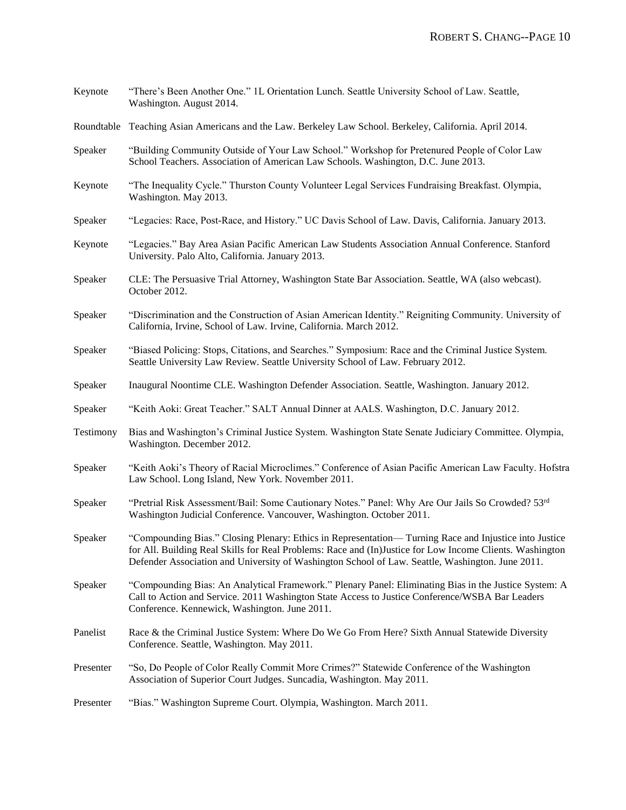| Keynote   | "There's Been Another One." 1L Orientation Lunch. Seattle University School of Law. Seattle,<br>Washington. August 2014.                                                                                                                                                                                               |
|-----------|------------------------------------------------------------------------------------------------------------------------------------------------------------------------------------------------------------------------------------------------------------------------------------------------------------------------|
|           | Roundtable Teaching Asian Americans and the Law. Berkeley Law School. Berkeley, California. April 2014.                                                                                                                                                                                                                |
| Speaker   | "Building Community Outside of Your Law School." Workshop for Pretenured People of Color Law<br>School Teachers. Association of American Law Schools. Washington, D.C. June 2013.                                                                                                                                      |
| Keynote   | "The Inequality Cycle." Thurston County Volunteer Legal Services Fundraising Breakfast. Olympia,<br>Washington. May 2013.                                                                                                                                                                                              |
| Speaker   | "Legacies: Race, Post-Race, and History." UC Davis School of Law. Davis, California. January 2013.                                                                                                                                                                                                                     |
| Keynote   | "Legacies." Bay Area Asian Pacific American Law Students Association Annual Conference. Stanford<br>University. Palo Alto, California. January 2013.                                                                                                                                                                   |
| Speaker   | CLE: The Persuasive Trial Attorney, Washington State Bar Association. Seattle, WA (also webcast).<br>October 2012.                                                                                                                                                                                                     |
| Speaker   | "Discrimination and the Construction of Asian American Identity." Reigniting Community. University of<br>California, Irvine, School of Law. Irvine, California. March 2012.                                                                                                                                            |
| Speaker   | "Biased Policing: Stops, Citations, and Searches." Symposium: Race and the Criminal Justice System.<br>Seattle University Law Review. Seattle University School of Law. February 2012.                                                                                                                                 |
| Speaker   | Inaugural Noontime CLE. Washington Defender Association. Seattle, Washington. January 2012.                                                                                                                                                                                                                            |
| Speaker   | "Keith Aoki: Great Teacher." SALT Annual Dinner at AALS. Washington, D.C. January 2012.                                                                                                                                                                                                                                |
| Testimony | Bias and Washington's Criminal Justice System. Washington State Senate Judiciary Committee. Olympia,<br>Washington. December 2012.                                                                                                                                                                                     |
| Speaker   | "Keith Aoki's Theory of Racial Microclimes." Conference of Asian Pacific American Law Faculty. Hofstra<br>Law School. Long Island, New York. November 2011.                                                                                                                                                            |
| Speaker   | "Pretrial Risk Assessment/Bail: Some Cautionary Notes." Panel: Why Are Our Jails So Crowded? 53rd<br>Washington Judicial Conference. Vancouver, Washington. October 2011.                                                                                                                                              |
| Speaker   | "Compounding Bias." Closing Plenary: Ethics in Representation—Turning Race and Injustice into Justice<br>for All. Building Real Skills for Real Problems: Race and (In) Justice for Low Income Clients. Washington<br>Defender Association and University of Washington School of Law. Seattle, Washington. June 2011. |
| Speaker   | "Compounding Bias: An Analytical Framework." Plenary Panel: Eliminating Bias in the Justice System: A<br>Call to Action and Service. 2011 Washington State Access to Justice Conference/WSBA Bar Leaders<br>Conference. Kennewick, Washington. June 2011.                                                              |
| Panelist  | Race & the Criminal Justice System: Where Do We Go From Here? Sixth Annual Statewide Diversity<br>Conference. Seattle, Washington. May 2011.                                                                                                                                                                           |
| Presenter | "So, Do People of Color Really Commit More Crimes?" Statewide Conference of the Washington<br>Association of Superior Court Judges. Suncadia, Washington. May 2011.                                                                                                                                                    |
| Presenter | "Bias." Washington Supreme Court. Olympia, Washington. March 2011.                                                                                                                                                                                                                                                     |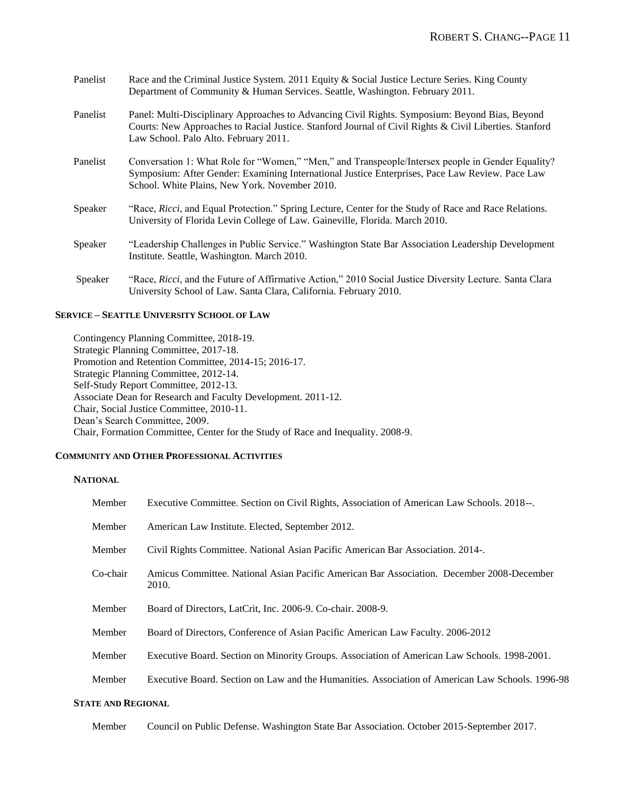| Panelist | Race and the Criminal Justice System. 2011 Equity & Social Justice Lecture Series. King County<br>Department of Community & Human Services. Seattle, Washington. February 2011.                                                                        |
|----------|--------------------------------------------------------------------------------------------------------------------------------------------------------------------------------------------------------------------------------------------------------|
| Panelist | Panel: Multi-Disciplinary Approaches to Advancing Civil Rights. Symposium: Beyond Bias, Beyond<br>Courts: New Approaches to Racial Justice. Stanford Journal of Civil Rights & Civil Liberties. Stanford<br>Law School. Palo Alto. February 2011.      |
| Panelist | Conversation 1: What Role for "Women," "Men," and Transpeople/Intersex people in Gender Equality?<br>Symposium: After Gender: Examining International Justice Enterprises, Pace Law Review. Pace Law<br>School. White Plains, New York. November 2010. |
| Speaker  | "Race, Ricci, and Equal Protection." Spring Lecture, Center for the Study of Race and Race Relations.<br>University of Florida Levin College of Law. Gaineville, Florida. March 2010.                                                                  |
| Speaker  | "Leadership Challenges in Public Service." Washington State Bar Association Leadership Development<br>Institute. Seattle, Washington. March 2010.                                                                                                      |
| Speaker  | "Race, Ricci, and the Future of Affirmative Action," 2010 Social Justice Diversity Lecture. Santa Clara<br>University School of Law. Santa Clara, California. February 2010.                                                                           |

### **SERVICE – SEATTLE UNIVERSITY SCHOOL OF LAW**

Contingency Planning Committee, 2018-19. Strategic Planning Committee, 2017-18. Promotion and Retention Committee, 2014-15; 2016-17. Strategic Planning Committee, 2012-14. Self-Study Report Committee, 2012-13. Associate Dean for Research and Faculty Development. 2011-12. Chair, Social Justice Committee, 2010-11. Dean's Search Committee, 2009. Chair, Formation Committee, Center for the Study of Race and Inequality. 2008-9.

## **COMMUNITY AND OTHER PROFESSIONAL ACTIVITIES**

## **NATIONAL**

| Member   | Executive Committee. Section on Civil Rights, Association of American Law Schools. 2018--.         |
|----------|----------------------------------------------------------------------------------------------------|
| Member   | American Law Institute. Elected, September 2012.                                                   |
| Member   | Civil Rights Committee. National Asian Pacific American Bar Association. 2014-.                    |
| Co-chair | Amicus Committee. National Asian Pacific American Bar Association. December 2008-December<br>2010. |
| Member   | Board of Directors, LatCrit, Inc. 2006-9. Co-chair. 2008-9.                                        |
| Member   | Board of Directors, Conference of Asian Pacific American Law Faculty. 2006-2012                    |
| Member   | Executive Board. Section on Minority Groups. Association of American Law Schools. 1998-2001.       |
| Member   | Executive Board. Section on Law and the Humanities. Association of American Law Schools. 1996-98   |

# **STATE AND REGIONAL**

Member Council on Public Defense. Washington State Bar Association. October 2015-September 2017.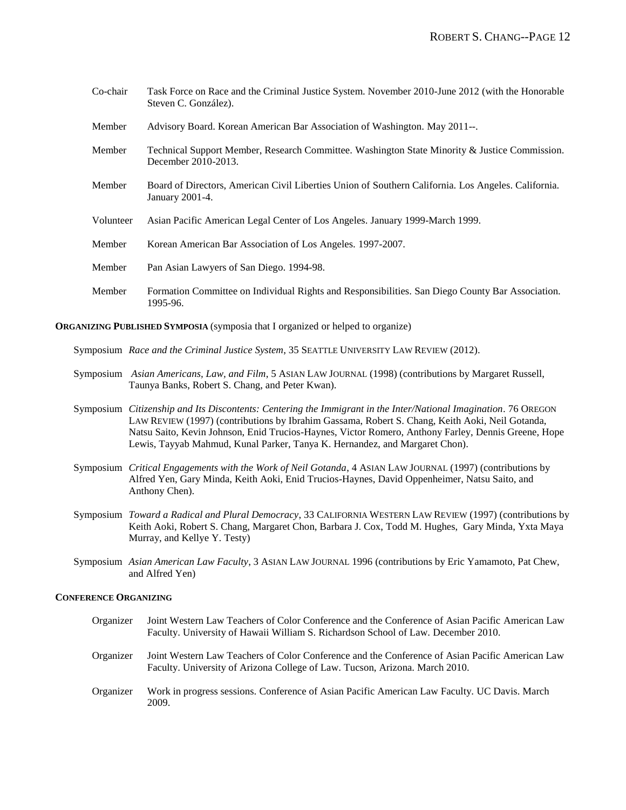| Co-chair  | Task Force on Race and the Criminal Justice System. November 2010-June 2012 (with the Honorable<br>Steven C. González). |
|-----------|-------------------------------------------------------------------------------------------------------------------------|
| Member    | Advisory Board. Korean American Bar Association of Washington. May 2011--                                               |
| Member    | Technical Support Member, Research Committee. Washington State Minority & Justice Commission.<br>December 2010-2013.    |
| Member    | Board of Directors, American Civil Liberties Union of Southern California. Los Angeles. California.<br>January 2001-4.  |
| Volunteer | Asian Pacific American Legal Center of Los Angeles. January 1999-March 1999.                                            |
| Member    | Korean American Bar Association of Los Angeles. 1997-2007.                                                              |
| Member    | Pan Asian Lawyers of San Diego. 1994-98.                                                                                |
| Member    | Formation Committee on Individual Rights and Responsibilities. San Diego County Bar Association.<br>1995-96.            |

#### **ORGANIZING PUBLISHED SYMPOSIA** (symposia that I organized or helped to organize)

- Symposium *Race and the Criminal Justice System*, 35 SEATTLE UNIVERSITY LAW REVIEW (2012).
- Symposium *Asian Americans, Law, and Film*, 5 ASIAN LAW JOURNAL (1998) (contributions by Margaret Russell, Taunya Banks, Robert S. Chang, and Peter Kwan).
- Symposium *Citizenship and Its Discontents: Centering the Immigrant in the Inter/National Imagination*. 76 OREGON LAW REVIEW (1997) (contributions by Ibrahim Gassama, Robert S. Chang, Keith Aoki, Neil Gotanda, Natsu Saito, Kevin Johnson, Enid Trucios-Haynes, Victor Romero, Anthony Farley, Dennis Greene, Hope Lewis, Tayyab Mahmud, Kunal Parker, Tanya K. Hernandez, and Margaret Chon).
- Symposium *Critical Engagements with the Work of Neil Gotanda*, 4 ASIAN LAW JOURNAL (1997) (contributions by Alfred Yen, Gary Minda, Keith Aoki, Enid Trucios-Haynes, David Oppenheimer, Natsu Saito, and Anthony Chen).
- Symposium *Toward a Radical and Plural Democracy*, 33 CALIFORNIA WESTERN LAW REVIEW (1997) (contributions by Keith Aoki, Robert S. Chang, Margaret Chon, Barbara J. Cox, Todd M. Hughes, Gary Minda, Yxta Maya Murray, and Kellye Y. Testy)
- Symposium *Asian American Law Faculty*, 3 ASIAN LAW JOURNAL 1996 (contributions by Eric Yamamoto, Pat Chew, and Alfred Yen)

## **CONFERENCE ORGANIZING**

Organizer Joint Western Law Teachers of Color Conference and the Conference of Asian Pacific American Law Faculty. University of Hawaii William S. Richardson School of Law. December 2010. Organizer Joint Western Law Teachers of Color Conference and the Conference of Asian Pacific American Law Faculty. University of Arizona College of Law. Tucson, Arizona. March 2010. Organizer Work in progress sessions. Conference of Asian Pacific American Law Faculty. UC Davis. March 2009.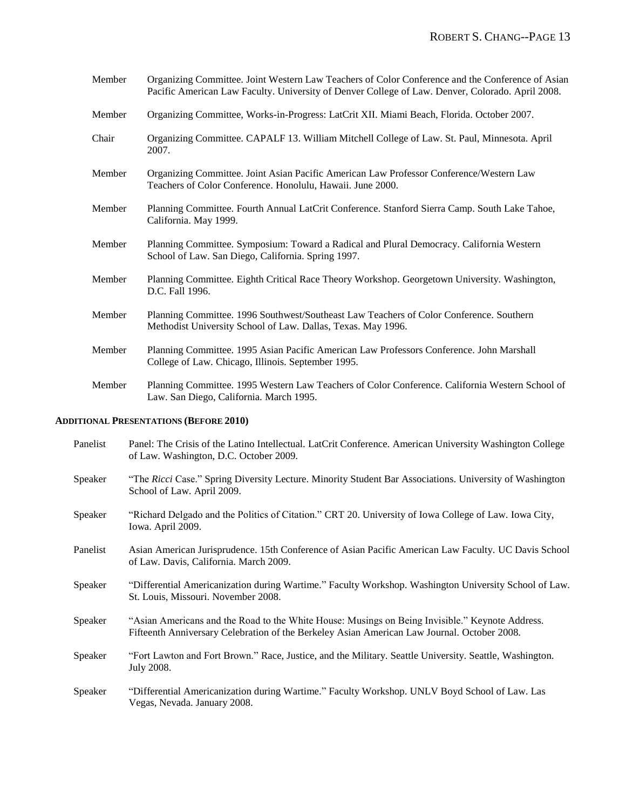| Member | Organizing Committee. Joint Western Law Teachers of Color Conference and the Conference of Asian<br>Pacific American Law Faculty. University of Denver College of Law. Denver, Colorado. April 2008. |
|--------|------------------------------------------------------------------------------------------------------------------------------------------------------------------------------------------------------|
| Member | Organizing Committee, Works-in-Progress: LatCrit XII. Miami Beach, Florida. October 2007.                                                                                                            |
| Chair  | Organizing Committee. CAPALF 13. William Mitchell College of Law. St. Paul, Minnesota. April<br>2007.                                                                                                |
| Member | Organizing Committee. Joint Asian Pacific American Law Professor Conference/Western Law<br>Teachers of Color Conference. Honolulu, Hawaii. June 2000.                                                |
| Member | Planning Committee. Fourth Annual LatCrit Conference. Stanford Sierra Camp. South Lake Tahoe,<br>California. May 1999.                                                                               |
| Member | Planning Committee. Symposium: Toward a Radical and Plural Democracy. California Western<br>School of Law. San Diego, California. Spring 1997.                                                       |
| Member | Planning Committee. Eighth Critical Race Theory Workshop. Georgetown University. Washington,<br>D.C. Fall 1996.                                                                                      |
| Member | Planning Committee. 1996 Southwest/Southeast Law Teachers of Color Conference. Southern<br>Methodist University School of Law. Dallas, Texas. May 1996.                                              |
| Member | Planning Committee. 1995 Asian Pacific American Law Professors Conference. John Marshall<br>College of Law. Chicago, Illinois. September 1995.                                                       |
| Member | Planning Committee. 1995 Western Law Teachers of Color Conference. California Western School of<br>Law. San Diego, California. March 1995.                                                           |

# **ADDITIONAL PRESENTATIONS (BEFORE 2010)**

| Panelist | Panel: The Crisis of the Latino Intellectual. LatCrit Conference. American University Washington College<br>of Law. Washington, D.C. October 2009.                                             |
|----------|------------------------------------------------------------------------------------------------------------------------------------------------------------------------------------------------|
| Speaker  | "The Ricci Case." Spring Diversity Lecture. Minority Student Bar Associations. University of Washington<br>School of Law. April 2009.                                                          |
| Speaker  | "Richard Delgado and the Politics of Citation." CRT 20. University of Iowa College of Law. Iowa City,<br>Iowa. April 2009.                                                                     |
| Panelist | Asian American Jurisprudence. 15th Conference of Asian Pacific American Law Faculty. UC Davis School<br>of Law. Davis, California. March 2009.                                                 |
| Speaker  | "Differential Americanization during Wartime." Faculty Workshop. Washington University School of Law.<br>St. Louis, Missouri. November 2008.                                                   |
| Speaker  | "Asian Americans and the Road to the White House: Musings on Being Invisible." Keynote Address.<br>Fifteenth Anniversary Celebration of the Berkeley Asian American Law Journal. October 2008. |
| Speaker  | "Fort Lawton and Fort Brown." Race, Justice, and the Military. Seattle University. Seattle, Washington.<br>July 2008.                                                                          |
| Speaker  | "Differential Americanization during Wartime." Faculty Workshop. UNLV Boyd School of Law. Las<br>Vegas, Nevada. January 2008.                                                                  |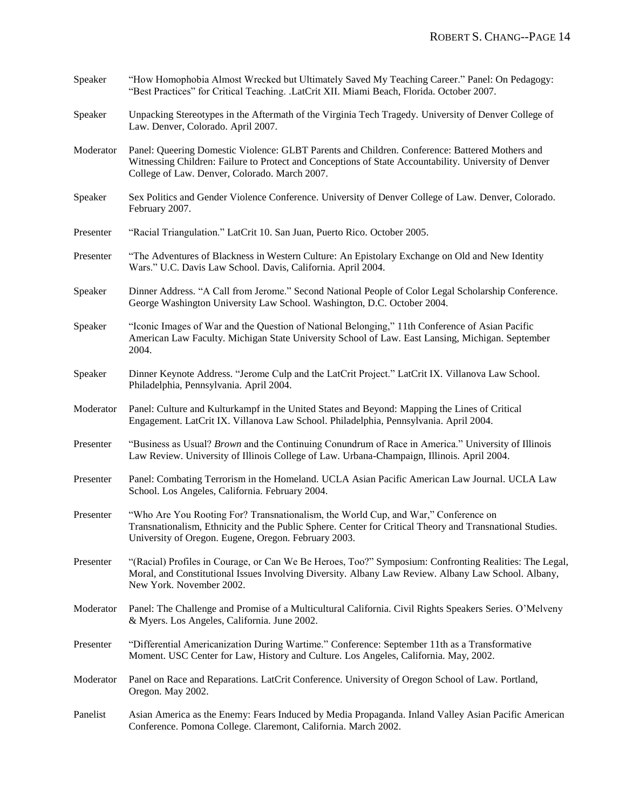| Speaker   | "How Homophobia Almost Wrecked but Ultimately Saved My Teaching Career." Panel: On Pedagogy:<br>"Best Practices" for Critical Teaching. .LatCrit XII. Miami Beach, Florida. October 2007.                                                                |
|-----------|----------------------------------------------------------------------------------------------------------------------------------------------------------------------------------------------------------------------------------------------------------|
| Speaker   | Unpacking Stereotypes in the Aftermath of the Virginia Tech Tragedy. University of Denver College of<br>Law. Denver, Colorado. April 2007.                                                                                                               |
| Moderator | Panel: Queering Domestic Violence: GLBT Parents and Children. Conference: Battered Mothers and<br>Witnessing Children: Failure to Protect and Conceptions of State Accountability. University of Denver<br>College of Law. Denver, Colorado. March 2007. |
| Speaker   | Sex Politics and Gender Violence Conference. University of Denver College of Law. Denver, Colorado.<br>February 2007.                                                                                                                                    |
| Presenter | "Racial Triangulation." LatCrit 10. San Juan, Puerto Rico. October 2005.                                                                                                                                                                                 |
| Presenter | "The Adventures of Blackness in Western Culture: An Epistolary Exchange on Old and New Identity<br>Wars." U.C. Davis Law School. Davis, California. April 2004.                                                                                          |
| Speaker   | Dinner Address. "A Call from Jerome." Second National People of Color Legal Scholarship Conference.<br>George Washington University Law School. Washington, D.C. October 2004.                                                                           |
| Speaker   | "Iconic Images of War and the Question of National Belonging," 11th Conference of Asian Pacific<br>American Law Faculty. Michigan State University School of Law. East Lansing, Michigan. September<br>2004.                                             |
| Speaker   | Dinner Keynote Address. "Jerome Culp and the LatCrit Project." LatCrit IX. Villanova Law School.<br>Philadelphia, Pennsylvania. April 2004.                                                                                                              |
| Moderator | Panel: Culture and Kulturkampf in the United States and Beyond: Mapping the Lines of Critical<br>Engagement. LatCrit IX. Villanova Law School. Philadelphia, Pennsylvania. April 2004.                                                                   |
| Presenter | "Business as Usual? Brown and the Continuing Conundrum of Race in America." University of Illinois<br>Law Review. University of Illinois College of Law. Urbana-Champaign, Illinois. April 2004.                                                         |
| Presenter | Panel: Combating Terrorism in the Homeland. UCLA Asian Pacific American Law Journal. UCLA Law<br>School. Los Angeles, California. February 2004.                                                                                                         |
| Presenter | "Who Are You Rooting For? Transnationalism, the World Cup, and War," Conference on<br>Transnationalism, Ethnicity and the Public Sphere. Center for Critical Theory and Transnational Studies.<br>University of Oregon. Eugene, Oregon. February 2003.   |
| Presenter | "(Racial) Profiles in Courage, or Can We Be Heroes, Too?" Symposium: Confronting Realities: The Legal,<br>Moral, and Constitutional Issues Involving Diversity. Albany Law Review. Albany Law School. Albany,<br>New York. November 2002.                |
| Moderator | Panel: The Challenge and Promise of a Multicultural California. Civil Rights Speakers Series. O'Melveny<br>& Myers. Los Angeles, California. June 2002.                                                                                                  |
| Presenter | "Differential Americanization During Wartime." Conference: September 11th as a Transformative<br>Moment. USC Center for Law, History and Culture. Los Angeles, California. May, 2002.                                                                    |
| Moderator | Panel on Race and Reparations. LatCrit Conference. University of Oregon School of Law. Portland,<br>Oregon. May 2002.                                                                                                                                    |
| Panelist  | Asian America as the Enemy: Fears Induced by Media Propaganda. Inland Valley Asian Pacific American<br>Conference. Pomona College. Claremont, California. March 2002.                                                                                    |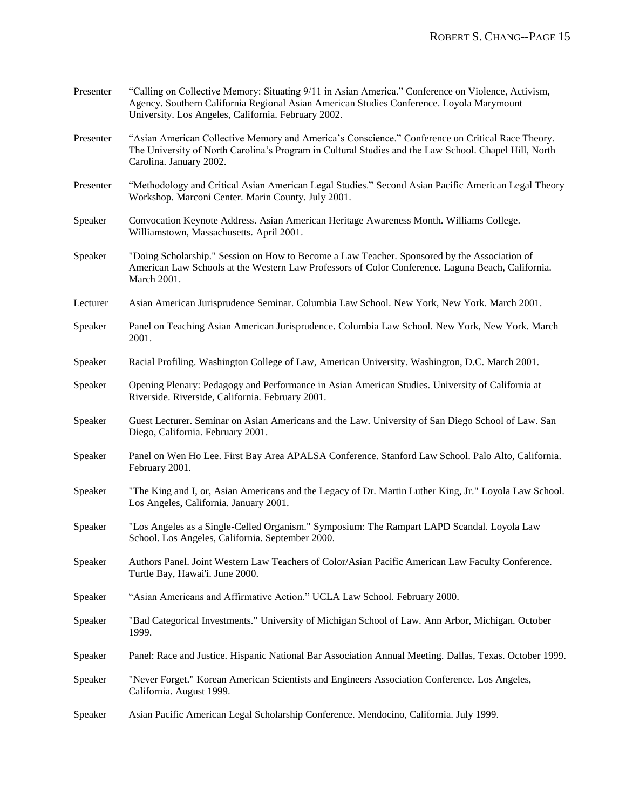| Presenter | "Calling on Collective Memory: Situating 9/11 in Asian America." Conference on Violence, Activism,<br>Agency. Southern California Regional Asian American Studies Conference. Loyola Marymount<br>University. Los Angeles, California. February 2002. |
|-----------|-------------------------------------------------------------------------------------------------------------------------------------------------------------------------------------------------------------------------------------------------------|
| Presenter | "Asian American Collective Memory and America's Conscience." Conference on Critical Race Theory.<br>The University of North Carolina's Program in Cultural Studies and the Law School. Chapel Hill, North<br>Carolina. January 2002.                  |
| Presenter | "Methodology and Critical Asian American Legal Studies." Second Asian Pacific American Legal Theory<br>Workshop. Marconi Center. Marin County. July 2001.                                                                                             |
| Speaker   | Convocation Keynote Address. Asian American Heritage Awareness Month. Williams College.<br>Williamstown, Massachusetts. April 2001.                                                                                                                   |
| Speaker   | "Doing Scholarship." Session on How to Become a Law Teacher. Sponsored by the Association of<br>American Law Schools at the Western Law Professors of Color Conference. Laguna Beach, California.<br>March 2001.                                      |
| Lecturer  | Asian American Jurisprudence Seminar. Columbia Law School. New York, New York. March 2001.                                                                                                                                                            |
| Speaker   | Panel on Teaching Asian American Jurisprudence. Columbia Law School. New York, New York. March<br>2001.                                                                                                                                               |
| Speaker   | Racial Profiling. Washington College of Law, American University. Washington, D.C. March 2001.                                                                                                                                                        |
| Speaker   | Opening Plenary: Pedagogy and Performance in Asian American Studies. University of California at<br>Riverside. Riverside, California. February 2001.                                                                                                  |
| Speaker   | Guest Lecturer. Seminar on Asian Americans and the Law. University of San Diego School of Law. San<br>Diego, California. February 2001.                                                                                                               |
| Speaker   | Panel on Wen Ho Lee. First Bay Area APALSA Conference. Stanford Law School. Palo Alto, California.<br>February 2001.                                                                                                                                  |
| Speaker   | "The King and I, or, Asian Americans and the Legacy of Dr. Martin Luther King, Jr." Loyola Law School.<br>Los Angeles, California. January 2001.                                                                                                      |
| Speaker   | "Los Angeles as a Single-Celled Organism." Symposium: The Rampart LAPD Scandal. Loyola Law<br>School. Los Angeles, California. September 2000.                                                                                                        |
| Speaker   | Authors Panel. Joint Western Law Teachers of Color/Asian Pacific American Law Faculty Conference.<br>Turtle Bay, Hawai'i. June 2000.                                                                                                                  |
| Speaker   | "Asian Americans and Affirmative Action." UCLA Law School. February 2000.                                                                                                                                                                             |
| Speaker   | "Bad Categorical Investments." University of Michigan School of Law. Ann Arbor, Michigan. October<br>1999.                                                                                                                                            |
| Speaker   | Panel: Race and Justice. Hispanic National Bar Association Annual Meeting. Dallas, Texas. October 1999.                                                                                                                                               |
| Speaker   | "Never Forget." Korean American Scientists and Engineers Association Conference. Los Angeles,<br>California. August 1999.                                                                                                                             |
| Speaker   | Asian Pacific American Legal Scholarship Conference. Mendocino, California. July 1999.                                                                                                                                                                |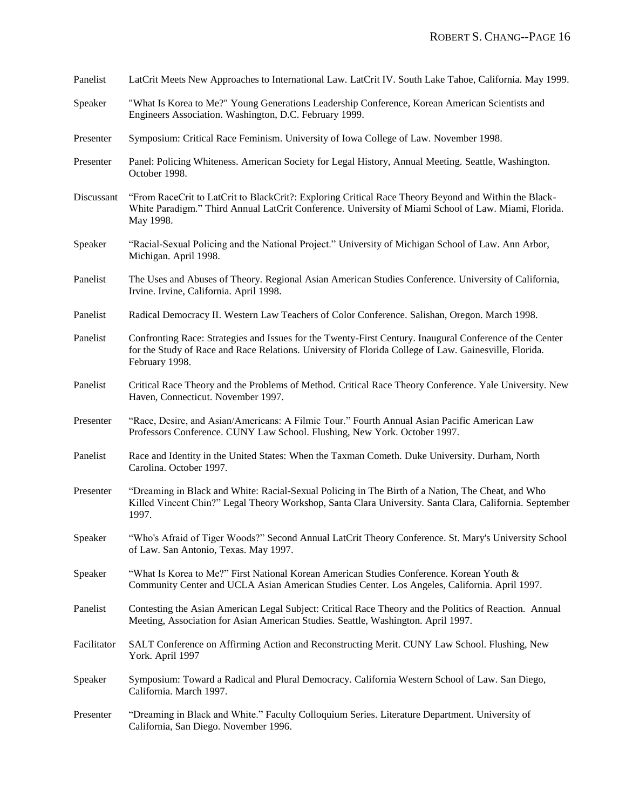| Panelist    | LatCrit Meets New Approaches to International Law. LatCrit IV. South Lake Tahoe, California. May 1999.                                                                                                                              |
|-------------|-------------------------------------------------------------------------------------------------------------------------------------------------------------------------------------------------------------------------------------|
| Speaker     | "What Is Korea to Me?" Young Generations Leadership Conference, Korean American Scientists and<br>Engineers Association. Washington, D.C. February 1999.                                                                            |
| Presenter   | Symposium: Critical Race Feminism. University of Iowa College of Law. November 1998.                                                                                                                                                |
| Presenter   | Panel: Policing Whiteness. American Society for Legal History, Annual Meeting. Seattle, Washington.<br>October 1998.                                                                                                                |
| Discussant  | "From RaceCrit to LatCrit to BlackCrit?: Exploring Critical Race Theory Beyond and Within the Black-<br>White Paradigm." Third Annual LatCrit Conference. University of Miami School of Law. Miami, Florida.<br>May 1998.           |
| Speaker     | "Racial-Sexual Policing and the National Project." University of Michigan School of Law. Ann Arbor,<br>Michigan. April 1998.                                                                                                        |
| Panelist    | The Uses and Abuses of Theory. Regional Asian American Studies Conference. University of California,<br>Irvine. Irvine, California. April 1998.                                                                                     |
| Panelist    | Radical Democracy II. Western Law Teachers of Color Conference. Salishan, Oregon. March 1998.                                                                                                                                       |
| Panelist    | Confronting Race: Strategies and Issues for the Twenty-First Century. Inaugural Conference of the Center<br>for the Study of Race and Race Relations. University of Florida College of Law. Gainesville, Florida.<br>February 1998. |
| Panelist    | Critical Race Theory and the Problems of Method. Critical Race Theory Conference. Yale University. New<br>Haven, Connecticut. November 1997.                                                                                        |
| Presenter   | "Race, Desire, and Asian/Americans: A Filmic Tour." Fourth Annual Asian Pacific American Law<br>Professors Conference. CUNY Law School. Flushing, New York. October 1997.                                                           |
| Panelist    | Race and Identity in the United States: When the Taxman Cometh. Duke University. Durham, North<br>Carolina. October 1997.                                                                                                           |
| Presenter   | "Dreaming in Black and White: Racial-Sexual Policing in The Birth of a Nation, The Cheat, and Who<br>Killed Vincent Chin?" Legal Theory Workshop, Santa Clara University. Santa Clara, California. September<br>1997.               |
| Speaker     | "Who's Afraid of Tiger Woods?" Second Annual LatCrit Theory Conference. St. Mary's University School<br>of Law. San Antonio, Texas. May 1997.                                                                                       |
| Speaker     | "What Is Korea to Me?" First National Korean American Studies Conference. Korean Youth &<br>Community Center and UCLA Asian American Studies Center. Los Angeles, California. April 1997.                                           |
| Panelist    | Contesting the Asian American Legal Subject: Critical Race Theory and the Politics of Reaction. Annual<br>Meeting, Association for Asian American Studies. Seattle, Washington. April 1997.                                         |
| Facilitator | SALT Conference on Affirming Action and Reconstructing Merit. CUNY Law School. Flushing, New<br>York. April 1997                                                                                                                    |
| Speaker     | Symposium: Toward a Radical and Plural Democracy. California Western School of Law. San Diego,<br>California. March 1997.                                                                                                           |
| Presenter   | "Dreaming in Black and White." Faculty Colloquium Series. Literature Department. University of<br>California, San Diego. November 1996.                                                                                             |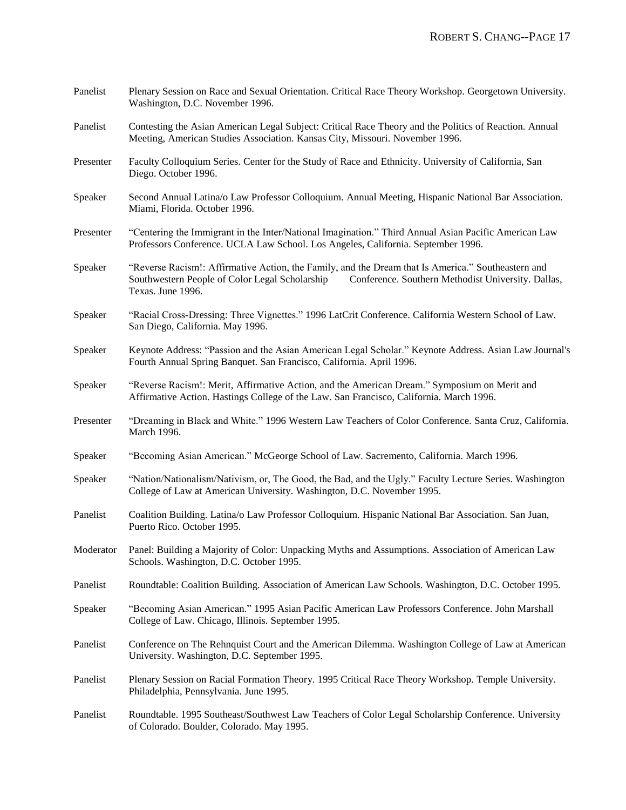| Panelist  | Plenary Session on Race and Sexual Orientation. Critical Race Theory Workshop. Georgetown University.<br>Washington, D.C. November 1996.                                                                                        |
|-----------|---------------------------------------------------------------------------------------------------------------------------------------------------------------------------------------------------------------------------------|
| Panelist  | Contesting the Asian American Legal Subject: Critical Race Theory and the Politics of Reaction. Annual<br>Meeting, American Studies Association. Kansas City, Missouri. November 1996.                                          |
| Presenter | Faculty Colloquium Series. Center for the Study of Race and Ethnicity. University of California, San<br>Diego. October 1996.                                                                                                    |
| Speaker   | Second Annual Latina/o Law Professor Colloquium. Annual Meeting, Hispanic National Bar Association.<br>Miami, Florida. October 1996.                                                                                            |
| Presenter | "Centering the Immigrant in the Inter/National Imagination." Third Annual Asian Pacific American Law<br>Professors Conference. UCLA Law School. Los Angeles, California. September 1996.                                        |
| Speaker   | "Reverse Racism!: Affirmative Action, the Family, and the Dream that Is America." Southeastern and<br>Southwestern People of Color Legal Scholarship<br>Conference. Southern Methodist University. Dallas,<br>Texas. June 1996. |
| Speaker   | "Racial Cross-Dressing: Three Vignettes." 1996 LatCrit Conference. California Western School of Law.<br>San Diego, California. May 1996.                                                                                        |
| Speaker   | Keynote Address: "Passion and the Asian American Legal Scholar." Keynote Address. Asian Law Journal's<br>Fourth Annual Spring Banquet. San Francisco, California. April 1996.                                                   |
| Speaker   | "Reverse Racism!: Merit, Affirmative Action, and the American Dream." Symposium on Merit and<br>Affirmative Action. Hastings College of the Law. San Francisco, California. March 1996.                                         |
| Presenter | "Dreaming in Black and White." 1996 Western Law Teachers of Color Conference. Santa Cruz, California.<br>March 1996.                                                                                                            |
| Speaker   | "Becoming Asian American." McGeorge School of Law. Sacremento, California. March 1996.                                                                                                                                          |
| Speaker   | "Nation/Nationalism/Nativism, or, The Good, the Bad, and the Ugly." Faculty Lecture Series. Washington<br>College of Law at American University. Washington, D.C. November 1995.                                                |
| Panelist  | Coalition Building. Latina/o Law Professor Colloquium. Hispanic National Bar Association. San Juan,<br>Puerto Rico. October 1995.                                                                                               |
| Moderator | Panel: Building a Majority of Color: Unpacking Myths and Assumptions. Association of American Law<br>Schools. Washington, D.C. October 1995.                                                                                    |
| Panelist  | Roundtable: Coalition Building. Association of American Law Schools. Washington, D.C. October 1995.                                                                                                                             |
| Speaker   | "Becoming Asian American." 1995 Asian Pacific American Law Professors Conference. John Marshall<br>College of Law. Chicago, Illinois. September 1995.                                                                           |
| Panelist  | Conference on The Rehnquist Court and the American Dilemma. Washington College of Law at American<br>University. Washington, D.C. September 1995.                                                                               |
| Panelist  | Plenary Session on Racial Formation Theory. 1995 Critical Race Theory Workshop. Temple University.<br>Philadelphia, Pennsylvania. June 1995.                                                                                    |
| Panelist  | Roundtable. 1995 Southeast/Southwest Law Teachers of Color Legal Scholarship Conference. University<br>of Colorado. Boulder, Colorado. May 1995.                                                                                |